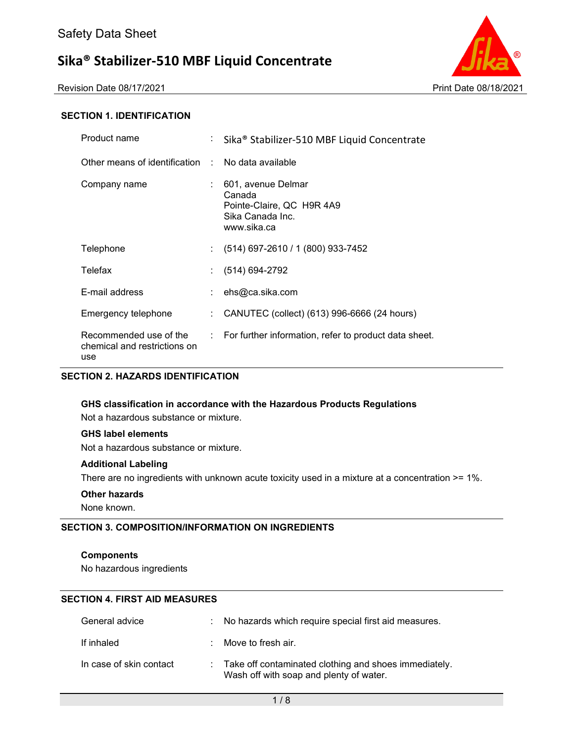Revision Date 08/17/2021 **Print Date 08/17/2021** Print Date 08/18/2021



# **SECTION 1. IDENTIFICATION**

| Product name                                                  |     | $\therefore$ Sika <sup>®</sup> Stabilizer-510 MBF Liquid Concentrate                         |
|---------------------------------------------------------------|-----|----------------------------------------------------------------------------------------------|
| Other means of identification : No data available             |     |                                                                                              |
| Company name                                                  |     | 601, avenue Delmar<br>Canada<br>Pointe-Claire, QC H9R 4A9<br>Sika Canada Inc.<br>www.sika.ca |
| Telephone                                                     | t i | (514) 697-2610 / 1 (800) 933-7452                                                            |
| Telefax                                                       |     | $(514) 694-2792$                                                                             |
| E-mail address                                                | t.  | ehs@ca.sika.com                                                                              |
| Emergency telephone                                           |     | CANUTEC (collect) (613) 996-6666 (24 hours)                                                  |
| Recommended use of the<br>chemical and restrictions on<br>use |     | $\therefore$ For further information, refer to product data sheet.                           |

# **SECTION 2. HAZARDS IDENTIFICATION**

#### **GHS classification in accordance with the Hazardous Products Regulations**

Not a hazardous substance or mixture.

#### **GHS label elements**

Not a hazardous substance or mixture.

#### **Additional Labeling**

There are no ingredients with unknown acute toxicity used in a mixture at a concentration >= 1%.

#### **Other hazards**

None known.

# **SECTION 3. COMPOSITION/INFORMATION ON INGREDIENTS**

### **Components**

No hazardous ingredients

# **SECTION 4. FIRST AID MEASURES**

| General advice          | : No hazards which require special first aid measures.                                             |
|-------------------------|----------------------------------------------------------------------------------------------------|
| If inhaled              | $\therefore$ Move to fresh air.                                                                    |
| In case of skin contact | : Take off contaminated clothing and shoes immediately.<br>Wash off with soap and plenty of water. |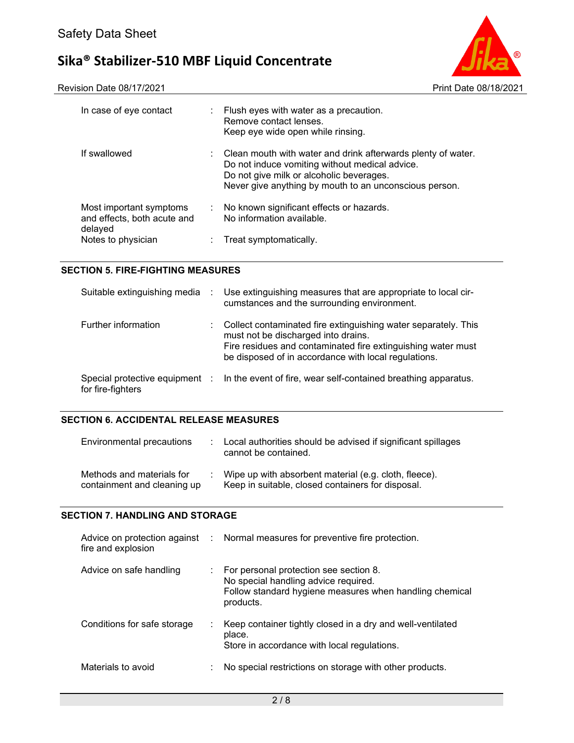

| In case of eye contact                                                                  | ÷ | Flush eyes with water as a precaution.<br>Remove contact lenses.<br>Keep eye wide open while rinsing.                                                                                                                |
|-----------------------------------------------------------------------------------------|---|----------------------------------------------------------------------------------------------------------------------------------------------------------------------------------------------------------------------|
| If swallowed                                                                            |   | Clean mouth with water and drink afterwards plenty of water.<br>Do not induce vomiting without medical advice.<br>Do not give milk or alcoholic beverages.<br>Never give anything by mouth to an unconscious person. |
| Most important symptoms<br>and effects, both acute and<br>delayed<br>Notes to physician | ÷ | No known significant effects or hazards.<br>No information available.<br>Treat symptomatically.                                                                                                                      |
|                                                                                         |   |                                                                                                                                                                                                                      |

# **SECTION 5. FIRE-FIGHTING MEASURES**

| Suitable extinguishing media | $\sim$ 100 $\sim$ | Use extinguishing measures that are appropriate to local cir-<br>cumstances and the surrounding environment.                                                                                                                  |
|------------------------------|-------------------|-------------------------------------------------------------------------------------------------------------------------------------------------------------------------------------------------------------------------------|
| Further information          |                   | Collect contaminated fire extinguishing water separately. This<br>must not be discharged into drains.<br>Fire residues and contaminated fire extinguishing water must<br>be disposed of in accordance with local regulations. |
| for fire-fighters            |                   | Special protective equipment : In the event of fire, wear self-contained breathing apparatus.                                                                                                                                 |

#### **SECTION 6. ACCIDENTAL RELEASE MEASURES**

| Environmental precautions                                | : Local authorities should be advised if significant spillages<br>cannot be contained.                       |
|----------------------------------------------------------|--------------------------------------------------------------------------------------------------------------|
| Methods and materials for<br>containment and cleaning up | : Wipe up with absorbent material (e.g. cloth, fleece).<br>Keep in suitable, closed containers for disposal. |

# **SECTION 7. HANDLING AND STORAGE**

| fire and explosion          | Advice on protection against : Normal measures for preventive fire protection.                                                                                      |
|-----------------------------|---------------------------------------------------------------------------------------------------------------------------------------------------------------------|
| Advice on safe handling     | $\therefore$ For personal protection see section 8.<br>No special handling advice required.<br>Follow standard hygiene measures when handling chemical<br>products. |
| Conditions for safe storage | Keep container tightly closed in a dry and well-ventilated<br>place.<br>Store in accordance with local regulations.                                                 |
| Materials to avoid          | No special restrictions on storage with other products.                                                                                                             |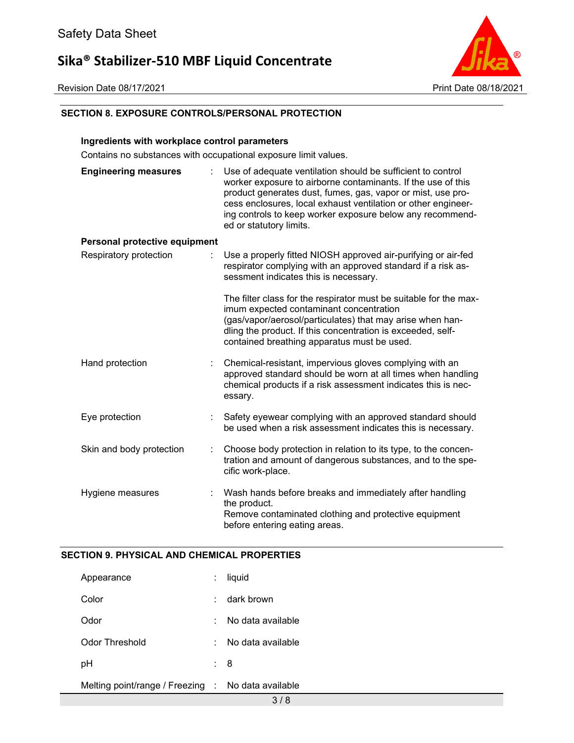Revision Date 08/17/2021 Print Date 08/18/2021



# **SECTION 8. EXPOSURE CONTROLS/PERSONAL PROTECTION**

# **Ingredients with workplace control parameters**

Contains no substances with occupational exposure limit values.

| <b>Engineering measures</b>   | Use of adequate ventilation should be sufficient to control<br>worker exposure to airborne contaminants. If the use of this<br>product generates dust, fumes, gas, vapor or mist, use pro-<br>cess enclosures, local exhaust ventilation or other engineer-<br>ing controls to keep worker exposure below any recommend-<br>ed or statutory limits. |
|-------------------------------|-----------------------------------------------------------------------------------------------------------------------------------------------------------------------------------------------------------------------------------------------------------------------------------------------------------------------------------------------------|
| Personal protective equipment |                                                                                                                                                                                                                                                                                                                                                     |
| Respiratory protection        | Use a properly fitted NIOSH approved air-purifying or air-fed<br>respirator complying with an approved standard if a risk as-<br>sessment indicates this is necessary.                                                                                                                                                                              |
|                               | The filter class for the respirator must be suitable for the max-<br>imum expected contaminant concentration<br>(gas/vapor/aerosol/particulates) that may arise when han-<br>dling the product. If this concentration is exceeded, self-<br>contained breathing apparatus must be used.                                                             |
| Hand protection               | Chemical-resistant, impervious gloves complying with an<br>approved standard should be worn at all times when handling<br>chemical products if a risk assessment indicates this is nec-<br>essary.                                                                                                                                                  |
| Eye protection<br>t.          | Safety eyewear complying with an approved standard should<br>be used when a risk assessment indicates this is necessary.                                                                                                                                                                                                                            |
| Skin and body protection      | Choose body protection in relation to its type, to the concen-<br>tration and amount of dangerous substances, and to the spe-<br>cific work-place.                                                                                                                                                                                                  |
| Hygiene measures              | Wash hands before breaks and immediately after handling<br>the product.<br>Remove contaminated clothing and protective equipment<br>before entering eating areas.                                                                                                                                                                                   |

#### **SECTION 9. PHYSICAL AND CHEMICAL PROPERTIES**

| Appearance                                         | ÷  | liquid            |
|----------------------------------------------------|----|-------------------|
| Color                                              |    | dark brown        |
| Odor                                               | ٠. | No data available |
| Odor Threshold                                     | ÷  | No data available |
| рH                                                 |    | : 8               |
| Melting point/range / Freezing : No data available |    |                   |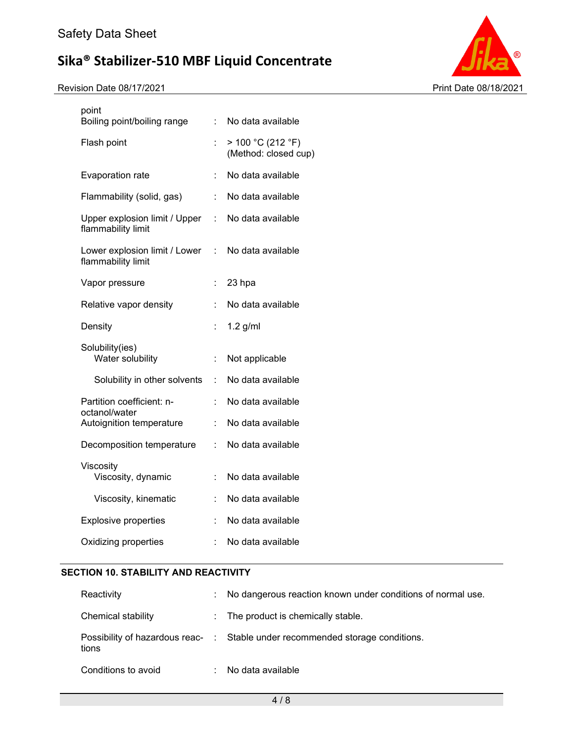Revision Date 08/17/2021 Print Date 08/18/2021



| point<br>Boiling point/boiling range                | ÷                         | No data available                         |
|-----------------------------------------------------|---------------------------|-------------------------------------------|
| Flash point                                         | Ì.                        | > 100 °C (212 °F)<br>(Method: closed cup) |
| Evaporation rate                                    | ÷                         | No data available                         |
| Flammability (solid, gas)                           | ÷                         | No data available                         |
| Upper explosion limit / Upper<br>flammability limit | $\mathbb{R}^{\mathbb{Z}}$ | No data available                         |
| Lower explosion limit / Lower<br>flammability limit | ÷                         | No data available                         |
| Vapor pressure                                      | $\ddot{\cdot}$            | 23 hpa                                    |
| Relative vapor density                              | t                         | No data available                         |
| Density                                             | t                         | $1.2$ g/ml                                |
| Solubility(ies)<br>Water solubility                 | Ì.                        | Not applicable                            |
| Solubility in other solvents                        | ÷                         | No data available                         |
| Partition coefficient: n-<br>octanol/water          | t.                        | No data available                         |
| Autoignition temperature                            | ÷.                        | No data available                         |
| Decomposition temperature                           |                           | No data available                         |
| Viscosity<br>Viscosity, dynamic                     | ÷                         | No data available                         |
| Viscosity, kinematic                                |                           | No data available                         |
| <b>Explosive properties</b>                         | Ì.                        | No data available                         |
| Oxidizing properties                                | t.                        | No data available                         |

# **SECTION 10. STABILITY AND REACTIVITY**

| Reactivity          |   | No dangerous reaction known under conditions of normal use.                   |
|---------------------|---|-------------------------------------------------------------------------------|
| Chemical stability  |   | : The product is chemically stable.                                           |
| tions               |   | Possibility of hazardous reac- : Stable under recommended storage conditions. |
| Conditions to avoid | ٠ | No data available                                                             |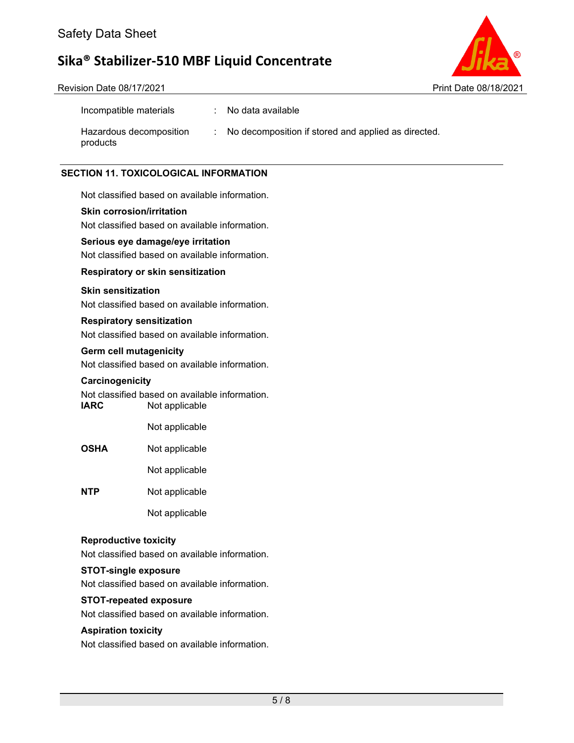Revision Date 08/17/2021 Print Date 08/18/2021



| Incompatible materials              | No data available                                   |
|-------------------------------------|-----------------------------------------------------|
| Hazardous decomposition<br>products | No decomposition if stored and applied as directed. |

# **SECTION 11. TOXICOLOGICAL INFORMATION**

Not classified based on available information.

#### **Skin corrosion/irritation**

Not classified based on available information.

#### **Serious eye damage/eye irritation**

Not classified based on available information.

### **Respiratory or skin sensitization**

#### **Skin sensitization**

Not classified based on available information.

### **Respiratory sensitization**

Not classified based on available information.

### **Germ cell mutagenicity**

Not classified based on available information.

#### **Carcinogenicity**

Not classified based on available information. **IARC** Not applicable

Not applicable

**OSHA** Not applicable

Not applicable

**NTP** Not applicable

Not applicable

# **Reproductive toxicity**

Not classified based on available information.

#### **STOT-single exposure**

Not classified based on available information.

# **STOT-repeated exposure**

Not classified based on available information.

# **Aspiration toxicity**

Not classified based on available information.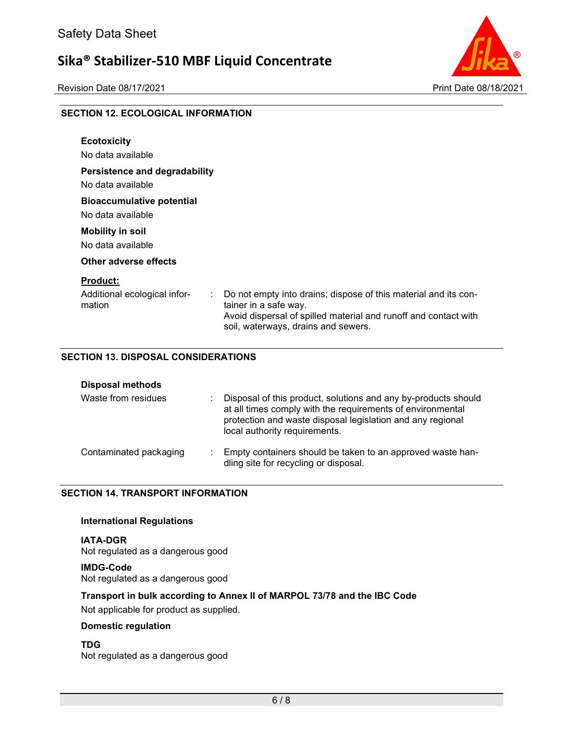Revision Date 08/17/2021 2008 2009 2009 2009 2009 2010 2021 2021



### **SECTION 12. ECOLOGICAL INFORMATION**

| <b>Ecotoxicity</b><br>No data available                         |                                                                                                                                                                                                    |
|-----------------------------------------------------------------|----------------------------------------------------------------------------------------------------------------------------------------------------------------------------------------------------|
| Persistence and degradability<br>No data available              |                                                                                                                                                                                                    |
| <b>Bioaccumulative potential</b><br>No data available           |                                                                                                                                                                                                    |
| <b>Mobility in soil</b><br>No data available                    |                                                                                                                                                                                                    |
| Other adverse effects                                           |                                                                                                                                                                                                    |
| <b>Product:</b><br>Additional ecological infor-<br>÷.<br>mation | Do not empty into drains; dispose of this material and its con-<br>tainer in a safe way.<br>Avoid dispersal of spilled material and runoff and contact with<br>soil, waterways, drains and sewers. |

# **SECTION 13. DISPOSAL CONSIDERATIONS**

| <b>Disposal methods</b> |                                                                                                                                                                                                                             |
|-------------------------|-----------------------------------------------------------------------------------------------------------------------------------------------------------------------------------------------------------------------------|
| Waste from residues     | Disposal of this product, solutions and any by-products should<br>at all times comply with the requirements of environmental<br>protection and waste disposal legislation and any regional<br>local authority requirements. |
| Contaminated packaging  | Empty containers should be taken to an approved waste han-<br>dling site for recycling or disposal.                                                                                                                         |

# **SECTION 14. TRANSPORT INFORMATION**

### **International Regulations**

**IATA-DGR** Not regulated as a dangerous good

**IMDG-Code** Not regulated as a dangerous good

**Transport in bulk according to Annex II of MARPOL 73/78 and the IBC Code**

Not applicable for product as supplied.

# **Domestic regulation**

**TDG** Not regulated as a dangerous good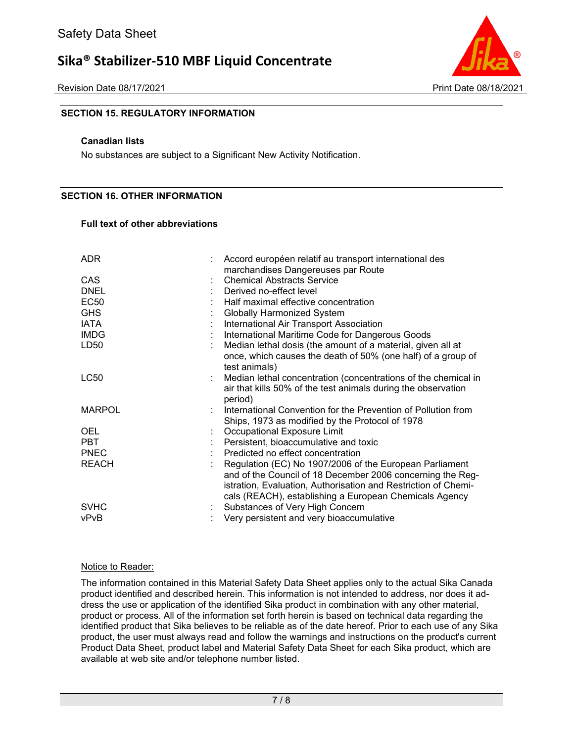Revision Date 08/17/2021 Print Date 08/18/2021



# **SECTION 15. REGULATORY INFORMATION**

#### **Canadian lists**

No substances are subject to a Significant New Activity Notification.

### **SECTION 16. OTHER INFORMATION**

### **Full text of other abbreviations**

| <b>ADR</b>    | Accord européen relatif au transport international des<br>marchandises Dangereuses par Route                                 |
|---------------|------------------------------------------------------------------------------------------------------------------------------|
| <b>CAS</b>    | <b>Chemical Abstracts Service</b>                                                                                            |
| <b>DNEL</b>   | Derived no-effect level                                                                                                      |
| <b>EC50</b>   | Half maximal effective concentration                                                                                         |
| <b>GHS</b>    | <b>Globally Harmonized System</b>                                                                                            |
| <b>IATA</b>   | International Air Transport Association                                                                                      |
| <b>IMDG</b>   | International Maritime Code for Dangerous Goods                                                                              |
| LD50          | Median lethal dosis (the amount of a material, given all at                                                                  |
|               | once, which causes the death of 50% (one half) of a group of<br>test animals)                                                |
| <b>LC50</b>   | Median lethal concentration (concentrations of the chemical in                                                               |
|               | air that kills 50% of the test animals during the observation<br>period)                                                     |
| <b>MARPOL</b> | International Convention for the Prevention of Pollution from                                                                |
|               | Ships, 1973 as modified by the Protocol of 1978                                                                              |
| <b>OEL</b>    | Occupational Exposure Limit                                                                                                  |
| <b>PBT</b>    | Persistent, bioaccumulative and toxic                                                                                        |
| <b>PNEC</b>   | Predicted no effect concentration                                                                                            |
| <b>REACH</b>  | Regulation (EC) No 1907/2006 of the European Parliament                                                                      |
|               | and of the Council of 18 December 2006 concerning the Reg-<br>istration, Evaluation, Authorisation and Restriction of Chemi- |
|               | cals (REACH), establishing a European Chemicals Agency                                                                       |
| <b>SVHC</b>   | Substances of Very High Concern                                                                                              |
| vPvB          | Very persistent and very bioaccumulative                                                                                     |

#### Notice to Reader:

The information contained in this Material Safety Data Sheet applies only to the actual Sika Canada product identified and described herein. This information is not intended to address, nor does it address the use or application of the identified Sika product in combination with any other material, product or process. All of the information set forth herein is based on technical data regarding the identified product that Sika believes to be reliable as of the date hereof. Prior to each use of any Sika product, the user must always read and follow the warnings and instructions on the product's current Product Data Sheet, product label and Material Safety Data Sheet for each Sika product, which are available at web site and/or telephone number listed.